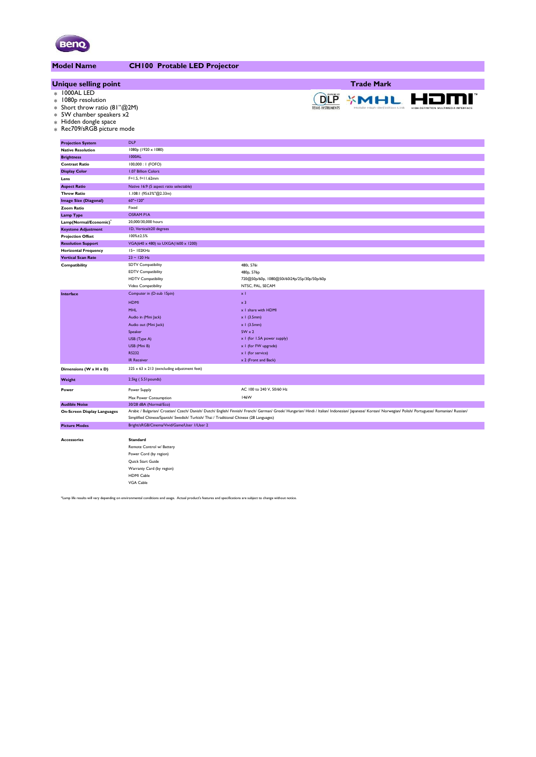

| <b>Model Name</b>                                                                                                                                     | <b>CH100 Protable LED Projector</b>                                                     |                                                                                                                                                                                                          |
|-------------------------------------------------------------------------------------------------------------------------------------------------------|-----------------------------------------------------------------------------------------|----------------------------------------------------------------------------------------------------------------------------------------------------------------------------------------------------------|
|                                                                                                                                                       |                                                                                         |                                                                                                                                                                                                          |
| <b>Unique selling point</b>                                                                                                                           |                                                                                         | <b>Trade Mark</b>                                                                                                                                                                                        |
| * 1000AL LED<br>* 1080p resolution<br>* Short throw ratio (81"@2M)<br>* 5W chamber speakers x2<br>* Hidden dongle space<br>* Rec709/sRGB picture mode |                                                                                         | <b>DLP</b><br><b>XMHL</b>                                                                                                                                                                                |
| <b>Projection System</b>                                                                                                                              | <b>DLP</b>                                                                              |                                                                                                                                                                                                          |
| <b>Native Resolution</b>                                                                                                                              | 1080p (1920 x 1080)                                                                     |                                                                                                                                                                                                          |
| <b>Brightness</b>                                                                                                                                     | 1000AL                                                                                  |                                                                                                                                                                                                          |
| <b>Contrast Ratio</b>                                                                                                                                 | 100,000 : 1 (FOFO)                                                                      |                                                                                                                                                                                                          |
| <b>Display Color</b>                                                                                                                                  | 1.07 Billion Colors                                                                     |                                                                                                                                                                                                          |
| Lens                                                                                                                                                  | $F=1.5, f=11.62mm$                                                                      |                                                                                                                                                                                                          |
| <b>Aspect Ratio</b>                                                                                                                                   | Native 16:9 (5 aspect ratio selectable)                                                 |                                                                                                                                                                                                          |
| <b>Throw Ratio</b>                                                                                                                                    | I.108:1 (95±3%"@2.33m)                                                                  |                                                                                                                                                                                                          |
| <b>Image Size (Diagonal)</b>                                                                                                                          | 60"~120"                                                                                |                                                                                                                                                                                                          |
| Zoom Ratio                                                                                                                                            | Fixed                                                                                   |                                                                                                                                                                                                          |
| <b>Lamp Type</b>                                                                                                                                      | <b>OSRAM PIA</b>                                                                        |                                                                                                                                                                                                          |
| Lamp(Normal/Economic)                                                                                                                                 | 20,000/30,000 hours                                                                     |                                                                                                                                                                                                          |
| <b>Keystone Adjustment</b>                                                                                                                            | ID, Vertical±20 degrees                                                                 |                                                                                                                                                                                                          |
| <b>Projection Offset</b>                                                                                                                              | 100%±2.5%                                                                               |                                                                                                                                                                                                          |
| <b>Resolution Support</b>                                                                                                                             | VGA(640 x 480) to UXGA(1600 x 1200)                                                     |                                                                                                                                                                                                          |
| <b>Horizontal Frequency</b>                                                                                                                           | 15~102KHz                                                                               |                                                                                                                                                                                                          |
| <b>Vertical Scan Rate</b>                                                                                                                             | $23 - 120$ Hz                                                                           |                                                                                                                                                                                                          |
| Compatibility                                                                                                                                         | <b>SDTV Compatibility</b>                                                               | 480i, 576i                                                                                                                                                                                               |
|                                                                                                                                                       | <b>EDTV Compatibility</b>                                                               | 480p, 576p                                                                                                                                                                                               |
|                                                                                                                                                       | <b>HDTV Compatibility</b>                                                               | 720@50p/60p, 1080@50i/60i24p/25p/30p/50p/60p                                                                                                                                                             |
|                                                                                                                                                       | Video Compatibility                                                                     | NTSC, PAL, SECAM                                                                                                                                                                                         |
| Interface                                                                                                                                             | Computer in (D-sub 15pin)                                                               | $\times$ l                                                                                                                                                                                               |
|                                                                                                                                                       | <b>HDMI</b>                                                                             | $\times 3$                                                                                                                                                                                               |
|                                                                                                                                                       | <b>MHL</b>                                                                              | x I share with HDMI                                                                                                                                                                                      |
|                                                                                                                                                       | Audio in (Mini Jack)                                                                    | $\times$ 1 (3.5mm)                                                                                                                                                                                       |
|                                                                                                                                                       | Audio out (Mini Jack)                                                                   | $x$ I (3.5mm)                                                                                                                                                                                            |
|                                                                                                                                                       | Speaker                                                                                 | $5W \times 2$                                                                                                                                                                                            |
|                                                                                                                                                       | USB (Type A)                                                                            | x I (for 1.5A power supply)                                                                                                                                                                              |
|                                                                                                                                                       | USB (Mini B)                                                                            | x I (for FW upgrade)                                                                                                                                                                                     |
|                                                                                                                                                       | <b>RS232</b>                                                                            | x I (for service)                                                                                                                                                                                        |
|                                                                                                                                                       | <b>IR Receiver</b>                                                                      | x 2 (Front and Back)                                                                                                                                                                                     |
| Dimensions (W x H x D)                                                                                                                                | $325 \times 63 \times 213$ (exncluding adjustment feet)                                 |                                                                                                                                                                                                          |
| Weight                                                                                                                                                | 2.5kg (5.51 pounds)                                                                     |                                                                                                                                                                                                          |
| Power                                                                                                                                                 | Power Supply                                                                            | AC 100 to 240 V, 50/60 Hz                                                                                                                                                                                |
|                                                                                                                                                       | Max Power Consumption                                                                   | 146W                                                                                                                                                                                                     |
| <b>Audible Noise</b>                                                                                                                                  | 30/28 dBA (Normal/Eco)                                                                  | Arabic / Bulgarian/ Croatian/ Czech/ Danish/ Dutch/ English/ Finnish/ French/ German/ Greek/ Hungarian/ Hindi / Italian/ Indonesian/ Japanese/ Korean/ Norwegian/ Polish/ Portuguese/ Romanian/ Russian/ |
| <b>On-Screen Display Languages</b>                                                                                                                    | Simplified Chinese/Spanish/ Swedish/ Turkish/ Thai / Traditional Chinese (28 Languages) |                                                                                                                                                                                                          |
| <b>Picture Modes</b>                                                                                                                                  | Bright/sRGB/Cinema/Vivid/Game/User 1/User 2                                             |                                                                                                                                                                                                          |
| <b>Accessories</b>                                                                                                                                    | <b>Standard</b>                                                                         |                                                                                                                                                                                                          |
|                                                                                                                                                       | Remote Control w/ Battery                                                               |                                                                                                                                                                                                          |
|                                                                                                                                                       | Power Cord (by region)                                                                  |                                                                                                                                                                                                          |
|                                                                                                                                                       | Quick Start Guide                                                                       |                                                                                                                                                                                                          |
|                                                                                                                                                       | Warranty Card (by region)                                                               |                                                                                                                                                                                                          |
|                                                                                                                                                       | HDMI Cable                                                                              |                                                                                                                                                                                                          |
|                                                                                                                                                       | VGA Cable                                                                               |                                                                                                                                                                                                          |
|                                                                                                                                                       |                                                                                         |                                                                                                                                                                                                          |

\*Lamp life results will vary depending on environmental conditions and usage. Actual product's features and specifications are subject to change without notice.